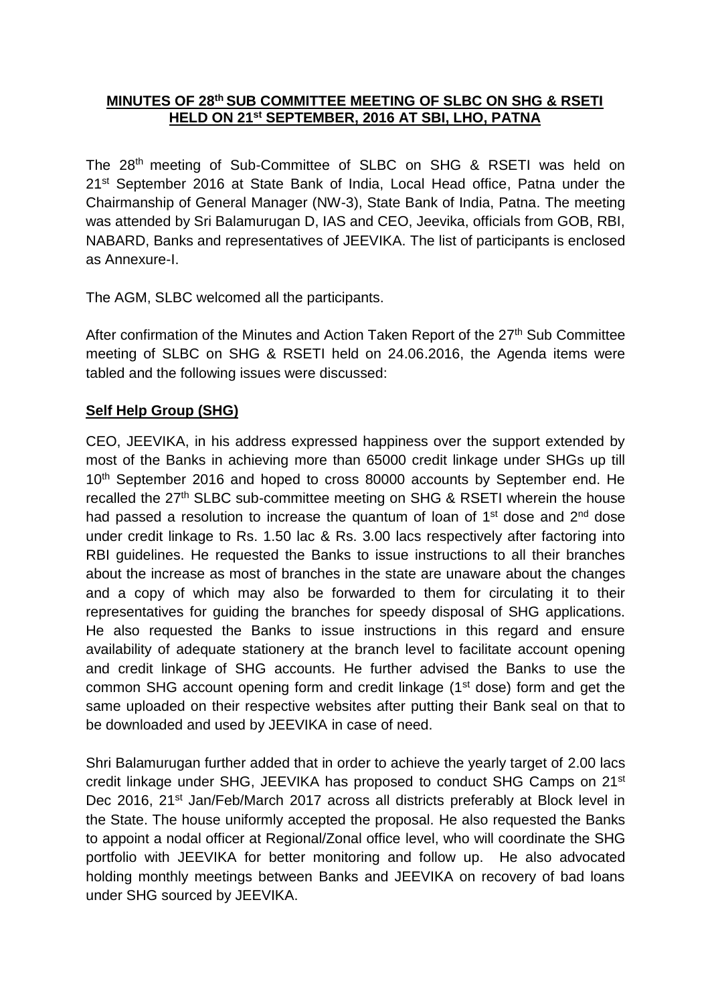#### **MINUTES OF 28 th SUB COMMITTEE MEETING OF SLBC ON SHG & RSETI HELD ON 21st SEPTEMBER, 2016 AT SBI, LHO, PATNA**

The 28<sup>th</sup> meeting of Sub-Committee of SLBC on SHG & RSETI was held on 21<sup>st</sup> September 2016 at State Bank of India, Local Head office, Patna under the Chairmanship of General Manager (NW-3), State Bank of India, Patna. The meeting was attended by Sri Balamurugan D, IAS and CEO, Jeevika, officials from GOB, RBI, NABARD, Banks and representatives of JEEVIKA. The list of participants is enclosed as Annexure-I.

The AGM, SLBC welcomed all the participants.

After confirmation of the Minutes and Action Taken Report of the 27<sup>th</sup> Sub Committee meeting of SLBC on SHG & RSETI held on 24.06.2016, the Agenda items were tabled and the following issues were discussed:

# **Self Help Group (SHG)**

CEO, JEEVIKA, in his address expressed happiness over the support extended by most of the Banks in achieving more than 65000 credit linkage under SHGs up till 10<sup>th</sup> September 2016 and hoped to cross 80000 accounts by September end. He recalled the 27<sup>th</sup> SLBC sub-committee meeting on SHG & RSETI wherein the house had passed a resolution to increase the quantum of loan of 1<sup>st</sup> dose and 2<sup>nd</sup> dose under credit linkage to Rs. 1.50 lac & Rs. 3.00 lacs respectively after factoring into RBI guidelines. He requested the Banks to issue instructions to all their branches about the increase as most of branches in the state are unaware about the changes and a copy of which may also be forwarded to them for circulating it to their representatives for guiding the branches for speedy disposal of SHG applications. He also requested the Banks to issue instructions in this regard and ensure availability of adequate stationery at the branch level to facilitate account opening and credit linkage of SHG accounts. He further advised the Banks to use the common SHG account opening form and credit linkage (1<sup>st</sup> dose) form and get the same uploaded on their respective websites after putting their Bank seal on that to be downloaded and used by JEEVIKA in case of need.

Shri Balamurugan further added that in order to achieve the yearly target of 2.00 lacs credit linkage under SHG, JEEVIKA has proposed to conduct SHG Camps on 21st Dec 2016, 21<sup>st</sup> Jan/Feb/March 2017 across all districts preferably at Block level in the State. The house uniformly accepted the proposal. He also requested the Banks to appoint a nodal officer at Regional/Zonal office level, who will coordinate the SHG portfolio with JEEVIKA for better monitoring and follow up. He also advocated holding monthly meetings between Banks and JEEVIKA on recovery of bad loans under SHG sourced by JEEVIKA.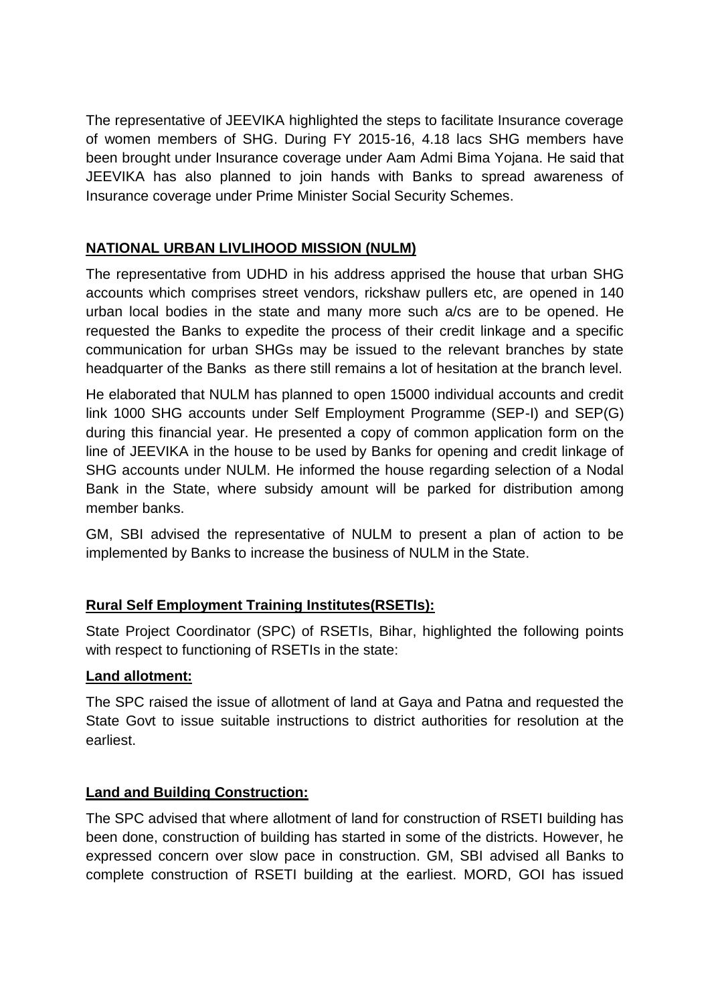The representative of JEEVIKA highlighted the steps to facilitate Insurance coverage of women members of SHG. During FY 2015-16, 4.18 lacs SHG members have been brought under Insurance coverage under Aam Admi Bima Yojana. He said that JEEVIKA has also planned to join hands with Banks to spread awareness of Insurance coverage under Prime Minister Social Security Schemes.

# **NATIONAL URBAN LIVLIHOOD MISSION (NULM)**

The representative from UDHD in his address apprised the house that urban SHG accounts which comprises street vendors, rickshaw pullers etc, are opened in 140 urban local bodies in the state and many more such a/cs are to be opened. He requested the Banks to expedite the process of their credit linkage and a specific communication for urban SHGs may be issued to the relevant branches by state headquarter of the Banks as there still remains a lot of hesitation at the branch level.

He elaborated that NULM has planned to open 15000 individual accounts and credit link 1000 SHG accounts under Self Employment Programme (SEP-I) and SEP(G) during this financial year. He presented a copy of common application form on the line of JEEVIKA in the house to be used by Banks for opening and credit linkage of SHG accounts under NULM. He informed the house regarding selection of a Nodal Bank in the State, where subsidy amount will be parked for distribution among member banks.

GM, SBI advised the representative of NULM to present a plan of action to be implemented by Banks to increase the business of NULM in the State.

# **Rural Self Employment Training Institutes(RSETIs):**

State Project Coordinator (SPC) of RSETIs, Bihar, highlighted the following points with respect to functioning of RSETIs in the state:

# **Land allotment:**

The SPC raised the issue of allotment of land at Gaya and Patna and requested the State Govt to issue suitable instructions to district authorities for resolution at the earliest.

# **Land and Building Construction:**

The SPC advised that where allotment of land for construction of RSETI building has been done, construction of building has started in some of the districts. However, he expressed concern over slow pace in construction. GM, SBI advised all Banks to complete construction of RSETI building at the earliest. MORD, GOI has issued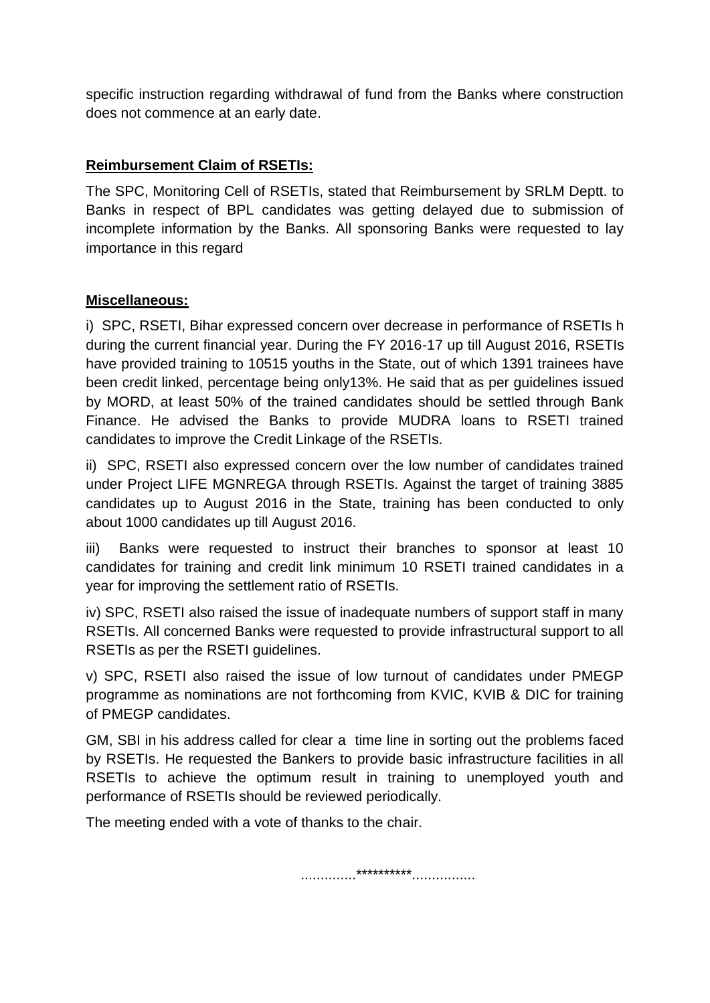specific instruction regarding withdrawal of fund from the Banks where construction does not commence at an early date.

# **Reimbursement Claim of RSETIs:**

The SPC, Monitoring Cell of RSETIs, stated that Reimbursement by SRLM Deptt. to Banks in respect of BPL candidates was getting delayed due to submission of incomplete information by the Banks. All sponsoring Banks were requested to lay importance in this regard

# **Miscellaneous:**

i) SPC, RSETI, Bihar expressed concern over decrease in performance of RSETIs h during the current financial year. During the FY 2016-17 up till August 2016, RSETIs have provided training to 10515 youths in the State, out of which 1391 trainees have been credit linked, percentage being only13%. He said that as per guidelines issued by MORD, at least 50% of the trained candidates should be settled through Bank Finance. He advised the Banks to provide MUDRA loans to RSETI trained candidates to improve the Credit Linkage of the RSETIs.

ii) SPC, RSETI also expressed concern over the low number of candidates trained under Project LIFE MGNREGA through RSETIs. Against the target of training 3885 candidates up to August 2016 in the State, training has been conducted to only about 1000 candidates up till August 2016.

iii) Banks were requested to instruct their branches to sponsor at least 10 candidates for training and credit link minimum 10 RSETI trained candidates in a year for improving the settlement ratio of RSETIs.

iv) SPC, RSETI also raised the issue of inadequate numbers of support staff in many RSETIs. All concerned Banks were requested to provide infrastructural support to all RSETIs as per the RSETI guidelines.

v) SPC, RSETI also raised the issue of low turnout of candidates under PMEGP programme as nominations are not forthcoming from KVIC, KVIB & DIC for training of PMEGP candidates.

GM, SBI in his address called for clear a time line in sorting out the problems faced by RSETIs. He requested the Bankers to provide basic infrastructure facilities in all RSETIs to achieve the optimum result in training to unemployed youth and performance of RSETIs should be reviewed periodically.

The meeting ended with a vote of thanks to the chair.

..............\*\*\*\*\*\*\*\*\*\*................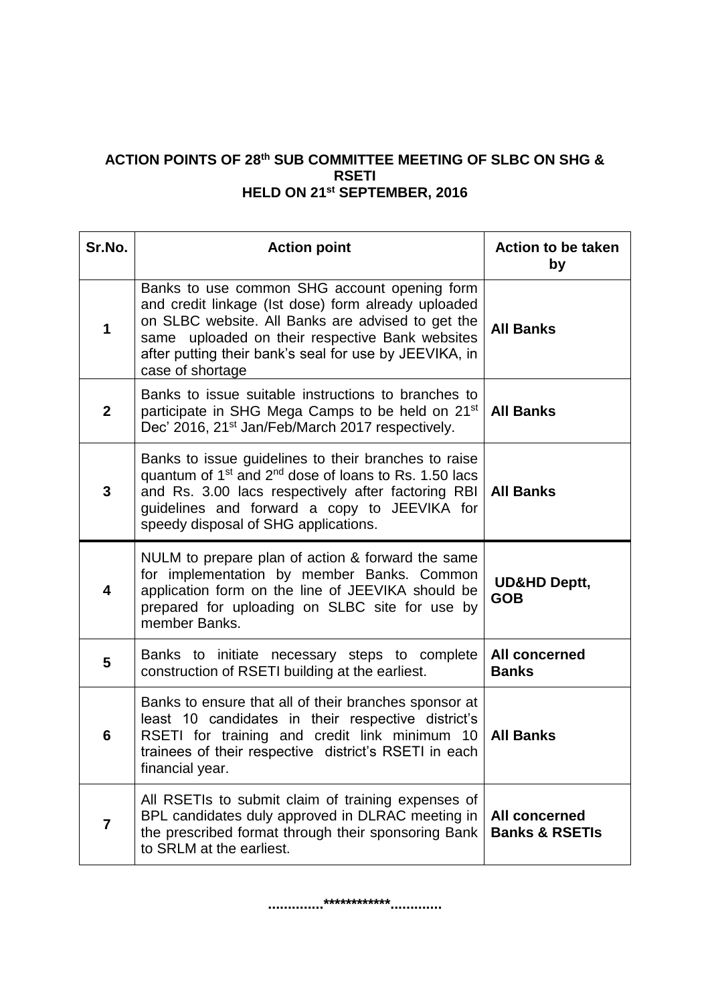#### **ACTION POINTS OF 28 th SUB COMMITTEE MEETING OF SLBC ON SHG & RSETI HELD ON 21 st SEPTEMBER, 2016**

| Sr.No.         | <b>Action point</b>                                                                                                                                                                                                                                                                       | <b>Action to be taken</b><br>by                   |
|----------------|-------------------------------------------------------------------------------------------------------------------------------------------------------------------------------------------------------------------------------------------------------------------------------------------|---------------------------------------------------|
| 1              | Banks to use common SHG account opening form<br>and credit linkage (Ist dose) form already uploaded<br>on SLBC website. All Banks are advised to get the<br>same uploaded on their respective Bank websites<br>after putting their bank's seal for use by JEEVIKA, in<br>case of shortage | <b>All Banks</b>                                  |
| $\overline{2}$ | Banks to issue suitable instructions to branches to<br>participate in SHG Mega Camps to be held on 21 <sup>st</sup><br>Dec' 2016, 21 <sup>st</sup> Jan/Feb/March 2017 respectively.                                                                                                       | <b>All Banks</b>                                  |
| 3              | Banks to issue guidelines to their branches to raise<br>quantum of 1 <sup>st</sup> and 2 <sup>nd</sup> dose of loans to Rs. 1.50 lacs<br>and Rs. 3.00 lacs respectively after factoring RBI<br>guidelines and forward a copy to JEEVIKA for<br>speedy disposal of SHG applications.       | <b>All Banks</b>                                  |
| 4              | NULM to prepare plan of action & forward the same<br>for implementation by member Banks. Common<br>application form on the line of JEEVIKA should be<br>prepared for uploading on SLBC site for use by<br>member Banks.                                                                   | <b>UD&amp;HD Deptt,</b><br><b>GOB</b>             |
| 5              | Banks to initiate necessary steps to complete<br>construction of RSETI building at the earliest.                                                                                                                                                                                          | <b>All concerned</b><br><b>Banks</b>              |
| 6              | Banks to ensure that all of their branches sponsor at<br>least 10 candidates in their respective district's<br>RSETI for training and credit link minimum 10<br>trainees of their respective district's RSETI in each<br>financial year.                                                  | <b>All Banks</b>                                  |
| $\overline{7}$ | All RSETIs to submit claim of training expenses of<br>BPL candidates duly approved in DLRAC meeting in<br>the prescribed format through their sponsoring Bank<br>to SRLM at the earliest.                                                                                                 | <b>All concerned</b><br><b>Banks &amp; RSETIs</b> |

**..............\*\*\*\*\*\*\*\*\*\*\*\*.............**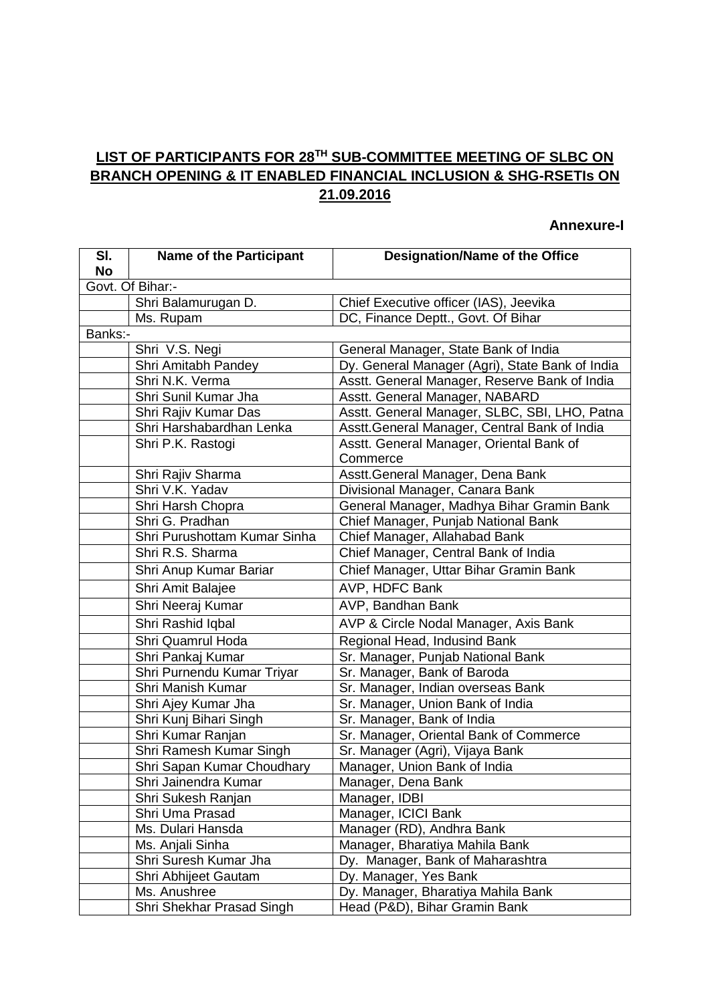# **LIST OF PARTICIPANTS FOR 28TH SUB-COMMITTEE MEETING OF SLBC ON BRANCH OPENING & IT ENABLED FINANCIAL INCLUSION & SHG-RSETIs ON 21.09.2016**

#### **Annexure-I**

| SI.<br><b>No</b> | <b>Name of the Participant</b> | <b>Designation/Name of the Office</b>                |  |
|------------------|--------------------------------|------------------------------------------------------|--|
| Govt. Of Bihar:- |                                |                                                      |  |
|                  | Shri Balamurugan D.            | Chief Executive officer (IAS), Jeevika               |  |
|                  | Ms. Rupam                      | DC, Finance Deptt., Govt. Of Bihar                   |  |
| Banks:-          |                                |                                                      |  |
|                  | Shri V.S. Negi                 | General Manager, State Bank of India                 |  |
|                  | Shri Amitabh Pandey            | Dy. General Manager (Agri), State Bank of India      |  |
|                  | Shri N.K. Verma                | Asstt. General Manager, Reserve Bank of India        |  |
|                  | Shri Sunil Kumar Jha           | Asstt. General Manager, NABARD                       |  |
|                  | Shri Rajiv Kumar Das           | Asstt. General Manager, SLBC, SBI, LHO, Patna        |  |
|                  | Shri Harshabardhan Lenka       | Asstt. General Manager, Central Bank of India        |  |
|                  | Shri P.K. Rastogi              | Asstt. General Manager, Oriental Bank of<br>Commerce |  |
|                  | Shri Rajiv Sharma              | Asstt. General Manager, Dena Bank                    |  |
|                  | Shri V.K. Yadav                | Divisional Manager, Canara Bank                      |  |
|                  | Shri Harsh Chopra              | General Manager, Madhya Bihar Gramin Bank            |  |
|                  | Shri G. Pradhan                | Chief Manager, Punjab National Bank                  |  |
|                  | Shri Purushottam Kumar Sinha   | Chief Manager, Allahabad Bank                        |  |
|                  | Shri R.S. Sharma               | Chief Manager, Central Bank of India                 |  |
|                  | Shri Anup Kumar Bariar         | Chief Manager, Uttar Bihar Gramin Bank               |  |
|                  | Shri Amit Balajee              | <b>AVP, HDFC Bank</b>                                |  |
|                  | Shri Neeraj Kumar              | AVP, Bandhan Bank                                    |  |
|                  | Shri Rashid Iqbal              | AVP & Circle Nodal Manager, Axis Bank                |  |
|                  | Shri Quamrul Hoda              | Regional Head, Indusind Bank                         |  |
|                  | Shri Pankaj Kumar              | Sr. Manager, Punjab National Bank                    |  |
|                  | Shri Purnendu Kumar Triyar     | Sr. Manager, Bank of Baroda                          |  |
|                  | Shri Manish Kumar              | Sr. Manager, Indian overseas Bank                    |  |
|                  | Shri Ajey Kumar Jha            | Sr. Manager, Union Bank of India                     |  |
|                  | Shri Kunj Bihari Singh         | Sr. Manager, Bank of India                           |  |
|                  | Shri Kumar Ranjan              | Sr. Manager, Oriental Bank of Commerce               |  |
|                  | Shri Ramesh Kumar Singh        | Sr. Manager (Agri), Vijaya Bank                      |  |
|                  | Shri Sapan Kumar Choudhary     | Manager, Union Bank of India                         |  |
|                  | Shri Jainendra Kumar           | Manager, Dena Bank                                   |  |
|                  | Shri Sukesh Ranjan             | Manager, IDBI                                        |  |
|                  | Shri Uma Prasad                | Manager, ICICI Bank                                  |  |
|                  | Ms. Dulari Hansda              | Manager (RD), Andhra Bank                            |  |
|                  | Ms. Anjali Sinha               | Manager, Bharatiya Mahila Bank                       |  |
|                  | Shri Suresh Kumar Jha          | Dy. Manager, Bank of Maharashtra                     |  |
|                  | Shri Abhijeet Gautam           | Dy. Manager, Yes Bank                                |  |
|                  | Ms. Anushree                   | Dy. Manager, Bharatiya Mahila Bank                   |  |
|                  | Shri Shekhar Prasad Singh      | Head (P&D), Bihar Gramin Bank                        |  |